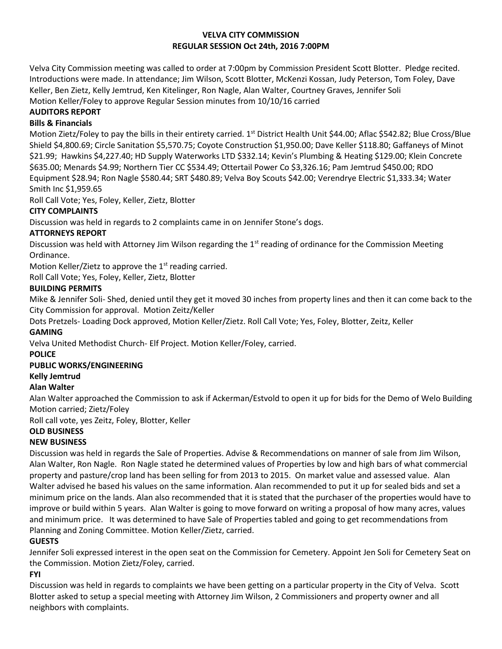### **VELVA CITY COMMISSION REGULAR SESSION Oct 24th, 2016 7:00PM**

Velva City Commission meeting was called to order at 7:00pm by Commission President Scott Blotter. Pledge recited. Introductions were made. In attendance; Jim Wilson, Scott Blotter, McKenzi Kossan, Judy Peterson, Tom Foley, Dave Keller, Ben Zietz, Kelly Jemtrud, Ken Kitelinger, Ron Nagle, Alan Walter, Courtney Graves, Jennifer Soli Motion Keller/Foley to approve Regular Session minutes from 10/10/16 carried

# **AUDITORS REPORT**

### **Bills & Financials**

Motion Zietz/Foley to pay the bills in their entirety carried. 1<sup>st</sup> District Health Unit \$44.00; Aflac \$542.82; Blue Cross/Blue Shield \$4,800.69; Circle Sanitation \$5,570.75; Coyote Construction \$1,950.00; Dave Keller \$118.80; Gaffaneys of Minot \$21.99; Hawkins \$4,227.40; HD Supply Waterworks LTD \$332.14; Kevin's Plumbing & Heating \$129.00; Klein Concrete \$635.00; Menards \$4.99; Northern Tier CC \$534.49; Ottertail Power Co \$3,326.16; Pam Jemtrud \$450.00; RDO Equipment \$28.94; Ron Nagle \$580.44; SRT \$480.89; Velva Boy Scouts \$42.00; Verendrye Electric \$1,333.34; Water Smith Inc \$1,959.65

Roll Call Vote; Yes, Foley, Keller, Zietz, Blotter

# **CITY COMPLAINTS**

Discussion was held in regards to 2 complaints came in on Jennifer Stone's dogs.

# **ATTORNEYS REPORT**

Discussion was held with Attorney Jim Wilson regarding the  $1<sup>st</sup>$  reading of ordinance for the Commission Meeting Ordinance.

Motion Keller/Zietz to approve the  $1<sup>st</sup>$  reading carried.

Roll Call Vote; Yes, Foley, Keller, Zietz, Blotter

# **BUILDING PERMITS**

Mike & Jennifer Soli- Shed, denied until they get it moved 30 inches from property lines and then it can come back to the City Commission for approval. Motion Zeitz/Keller

Dots Pretzels- Loading Dock approved, Motion Keller/Zietz. Roll Call Vote; Yes, Foley, Blotter, Zeitz, Keller

### **GAMING**

Velva United Methodist Church- Elf Project. Motion Keller/Foley, carried.

**POLICE**

# **PUBLIC WORKS/ENGINEERING**

**Kelly Jemtrud**

### **Alan Walter**

Alan Walter approached the Commission to ask if Ackerman/Estvold to open it up for bids for the Demo of Welo Building Motion carried; Zietz/Foley

Roll call vote, yes Zeitz, Foley, Blotter, Keller

### **OLD BUSINESS**

### **NEW BUSINESS**

Discussion was held in regards the Sale of Properties. Advise & Recommendations on manner of sale from Jim Wilson, Alan Walter, Ron Nagle. Ron Nagle stated he determined values of Properties by low and high bars of what commercial property and pasture/crop land has been selling for from 2013 to 2015. On market value and assessed value. Alan Walter advised he based his values on the same information. Alan recommended to put it up for sealed bids and set a minimum price on the lands. Alan also recommended that it is stated that the purchaser of the properties would have to improve or build within 5 years. Alan Walter is going to move forward on writing a proposal of how many acres, values and minimum price. It was determined to have Sale of Properties tabled and going to get recommendations from Planning and Zoning Committee. Motion Keller/Zietz, carried.

# **GUESTS**

Jennifer Soli expressed interest in the open seat on the Commission for Cemetery. Appoint Jen Soli for Cemetery Seat on the Commission. Motion Zietz/Foley, carried.

**FYI**

Discussion was held in regards to complaints we have been getting on a particular property in the City of Velva. Scott Blotter asked to setup a special meeting with Attorney Jim Wilson, 2 Commissioners and property owner and all neighbors with complaints.